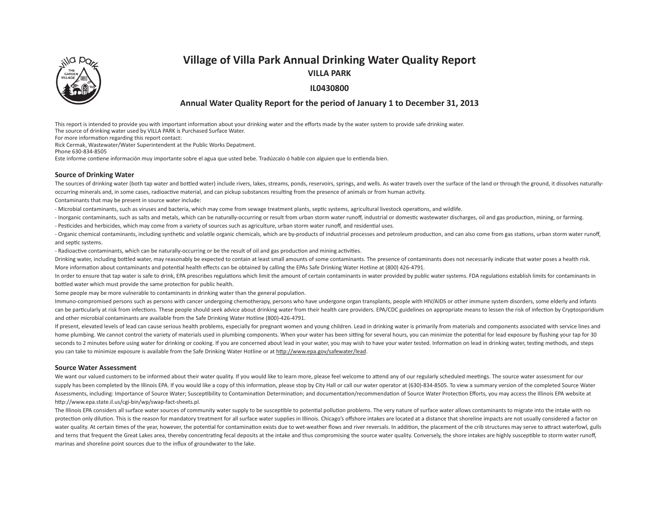# **Village of Villa Park Annual Drinking Water Quality Report**



**VILLA PARK**

# **IL0430800**

# **Annual Water Quality Report for the period of January 1 to December 31, 2013**

This report is intended to provide you with important information about your drinking water and the efforts made by the water system to provide safe drinking water.

The source of drinking water used by VILLA PARK is Purchased Surface Water.

For more information regarding this report contact:

Rick Cermak, Wastewater/Water Superintendent at the Public Works Depatment.

Phone 630-834-8505

Este informe contiene información muy importante sobre el agua que usted bebe. Tradúzcalo ó hable con alguien que lo entienda bien.

### **Source of Drinking Water**

The sources of drinking water (both tap water and bottled water) include rivers, lakes, streams, ponds, reservoirs, springs, and wells. As water travels over the surface of the land or through the ground, it dissolves natu occurring minerals and, in some cases, radioactive material, and can pickup substances resulting from the presence of animals or from human activity.

Contaminants that may be present in source water include:

- Microbial contaminants, such as viruses and bacteria, which may come from sewage treatment plants, septic systems, agricultural livestock operations, and wildlife.

- Inorganic contaminants, such as salts and metals, which can be naturally-occurring or result from urban storm water runoff, industrial or domestic wastewater discharges, oil and gas production, mining, or farming.

- Pesticides and herbicides, which may come from a variety of sources such as agriculture, urban storm water runoff, and residential uses.

- Organic chemical contaminants, including synthetic and volatile organic chemicals, which are by-products of industrial processes and petroleum production, and can also come from gas stations, urban storm water runoff, and septic systems.

- Radioactive contaminants, which can be naturally-occurring or be the result of oil and gas production and mining activities.

Drinking water, including bottled water, may reasonably be expected to contain at least small amounts of some contaminants. The presence of contaminants does not necessarily indicate that water poses a health risk. More information about contaminants and potential health effects can be obtained by calling the EPAs Safe Drinking Water Hotline at (800) 426-4791.

In order to ensure that tap water is safe to drink, EPA prescribes regulations which limit the amount of certain contaminants in water provided by public water systems. FDA regulations establish limits for contaminants in bottled water which must provide the same protection for public health.

Some people may be more vulnerable to contaminants in drinking water than the general population.

Immuno-compromised persons such as persons with cancer undergoing chemotherapy, persons who have undergone organ transplants, people with HIV/AIDS or other immune system disorders, some elderly and infants can be particularly at risk from infections. These people should seek advice about drinking water from their health care providers. EPA/CDC guidelines on appropriate means to lessen the risk of infection by Cryptosporidium and other microbial contaminants are available from the Safe Drinking Water Hotline (800)-426-4791.

If present, elevated levels of lead can cause serious health problems, especially for pregnant women and young children. Lead in drinking water is primarily from materials and components associated with service lines and home plumbing. We cannot control the variety of materials used in plumbing components. When your water has been sitting for several hours, you can minimize the potential for lead exposure by flushing your tap for 30 seconds to 2 minutes before using water for drinking or cooking. If you are concerned about lead in your water, you may wish to have your water tested. Information on lead in drinking water, testing methods, and steps you can take to minimize exposure is available from the Safe Drinking Water Hotline or at http://www.epa.gov/safewater/lead.

### **Source Water Assessment**

We want our valued customers to be informed about their water quality. If you would like to learn more, please feel welcome to attend any of our regularly scheduled meetings. The source water assessment for our supply has been completed by the Illinois EPA. If you would like a copy of this information, please stop by City Hall or call our water operator at (630)-834-8505. To view a summary version of the completed Source Water Assessments, including: Importance of Source Water: Susceptibility to Contamination Determination: and documentation/recommendation of Source Water Protection Efforts, you may access the Illinois EPA website at http://www.epa.state.il.us/cgi-bin/wp/swap-fact-sheets.pl.

The Illinois EPA considers all surface water sources of community water supply to be susceptible to potential pollution problems. The very nature of surface water allows contaminants to migrate into the intake with no protection only dilution. This is the reason for mandatory treatment for all surface water supplies in Illinois. Chicago's offshore intakes are located at a distance that shoreline impacts are not usually considered a fact water quality. At certain times of the year, however, the potential for contamination exists due to wet-weather flows and river reversals. In addition, the placement of the crib structures may serve to attract waterfowl, g and terns that frequent the Great Lakes area, thereby concentrating fecal deposits at the intake and thus compromising the source water quality. Conversely, the shore intakes are highly susceptible to storm water runoff, marinas and shoreline point sources due to the influx of groundwater to the lake.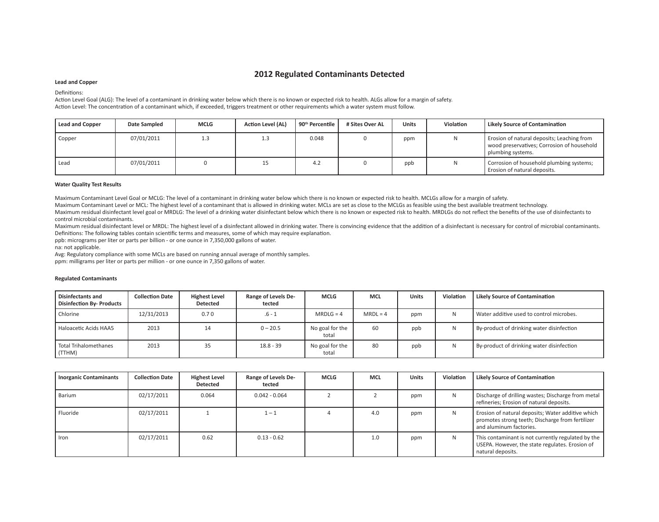# **2012 Regulated Contaminants Detected**

### **Lead and Copper**

### Definitions:

Action Level Goal (ALG): The level of a contaminant in drinking water below which there is no known or expected risk to health. ALGs allow for a margin of safety. Action Level: The concentration of a contaminant which, if exceeded, triggers treatment or other requirements which a water system must follow.

| <b>Lead and Copper</b> | Date Sampled | <b>MCLG</b> | <b>Action Level (AL)</b> | 90 <sup>th</sup> Percentile | # Sites Over AL | <b>Units</b> | Violation | Likely Source of Contamination                                                                                |
|------------------------|--------------|-------------|--------------------------|-----------------------------|-----------------|--------------|-----------|---------------------------------------------------------------------------------------------------------------|
| Copper                 | 07/01/2011   | 1.3         | ن. 1                     | 0.048                       |                 | ppm          |           | Erosion of natural deposits; Leaching from<br>wood preservatives; Corrosion of household<br>plumbing systems. |
| Lead                   | 07/01/2011   |             | 15                       | 4.2                         |                 | ppb          |           | Corrosion of household plumbing systems;<br>Erosion of natural deposits.                                      |

### **Water Quality Test Results**

Maximum Contaminant Level Goal or MCLG: The level of a contaminant in drinking water below which there is no known or expected risk to health. MCLGs allow for a margin of safety.

Maximum Contaminant Level or MCL: The highest level of a contaminant that is allowed in drinking water. MCLs are set as close to the MCLGs as feasible using the best available treatment technology.

Maximum residual disinfectant level goal or MRDLG: The level of a drinking water disinfectant below which there is no known or expected risk to health. MRDLGs do not reflect the benefits of the use of disinfectants to control microbial contaminants.

Maximum residual disinfectant level or MRDL: The highest level of a disinfectant allowed in drinking water. There is convincing evidence that the addition of a disinfectant is necessary for control of microbial contaminant Definitions: The following tables contain scientific terms and measures, some of which may require explanation.

ppb: micrograms per liter or parts per billion - or one ounce in 7,350,000 gallons of water.

na: not applicable.

Avg: Regulatory compliance with some MCLs are based on running annual average of monthly samples.

ppm: milligrams per liter or parts per million - or one ounce in 7,350 gallons of water.

| Disinfectants and<br>Disinfection By- Products | <b>Collection Date</b> | <b>Highest Level</b><br><b>Detected</b> | Range of Levels De-<br>tected | <b>MCLG</b>              | <b>MCL</b> | <b>Units</b> | Violation | <b>Likely Source of Contamination</b>     |
|------------------------------------------------|------------------------|-----------------------------------------|-------------------------------|--------------------------|------------|--------------|-----------|-------------------------------------------|
| Chlorine                                       | 12/31/2013             | 0.70                                    | $.6 - 1$                      | $MRDLG = 4$              | $MRDL = 4$ | ppm          | N         | Water additive used to control microbes.  |
| Haloacetic Acids HAA5                          | 2013                   | 14                                      | $0 - 20.5$                    | No goal for the<br>total | 60         | ppb          | N         | By-product of drinking water disinfection |
| Total Trihalomethanes<br>(TTHM)                | 2013                   | 35                                      | $18.8 - 39$                   | No goal for the<br>total | 80         | ppb          | N         | By-product of drinking water disinfection |

### **Regulated Contaminants**

| <b>Inorganic Contaminants</b> | <b>Collection Date</b> | <b>Highest Level</b><br>Detected | Range of Levels De-<br>tected | <b>MCLG</b> | <b>MCL</b> | <b>Units</b> | Violation    | <b>Likely Source of Contamination</b>                                                                                            |
|-------------------------------|------------------------|----------------------------------|-------------------------------|-------------|------------|--------------|--------------|----------------------------------------------------------------------------------------------------------------------------------|
| Barium                        | 02/17/2011             | 0.064                            | $0.042 - 0.064$               |             |            | ppm          | N            | Discharge of drilling wastes; Discharge from metal<br>refineries; Erosion of natural deposits.                                   |
| Fluoride                      | 02/17/2011             |                                  | $1 - 1$                       |             | 4.0        | ppm          | <sub>N</sub> | Erosion of natural deposits; Water additive which<br>promotes strong teeth; Discharge from fertilizer<br>and aluminum factories. |
| Iron                          | 02/17/2011             | 0.62                             | $0.13 - 0.62$                 |             | 1.0        | ppm          | N            | This contaminant is not currently regulated by the<br>USEPA. However, the state regulates. Erosion of<br>natural deposits.       |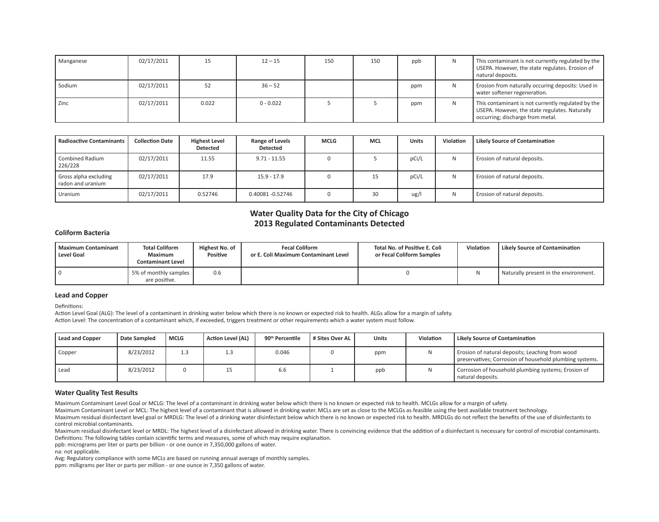| Manganese | 02/17/2011 |       | $12 - 15$   | 150 | 150 | ppb | N | This contaminant is not currently regulated by the<br>USEPA. However, the state regulates. Erosion of<br>natural deposits.               |
|-----------|------------|-------|-------------|-----|-----|-----|---|------------------------------------------------------------------------------------------------------------------------------------------|
| Sodium    | 02/17/2011 | 52    | $36 - 52$   |     |     | ppm | N | Erosion from naturally occuring deposits: Used in<br>water softener regeneration.                                                        |
| Zinc      | 02/17/2011 | 0.022 | $0 - 0.022$ |     |     | ppm | N | This contaminant is not currently regulated by the<br>USEPA. However, the state regulates. Naturally<br>occurring; discharge from metal. |

| <b>Radioactive Contaminants</b>            | <b>Collection Date</b> | <b>Highest Level</b><br><b>Detected</b> | Range of Levels<br><b>Detected</b> | <b>MCLG</b> | <b>MCL</b> | <b>Units</b> | Violation | Likely Source of Contamination |
|--------------------------------------------|------------------------|-----------------------------------------|------------------------------------|-------------|------------|--------------|-----------|--------------------------------|
| <b>Combined Radium</b><br>226/228          | 02/17/2011             | 11.55                                   | $9.71 - 11.55$                     |             |            | pCi/L        | N         | Erosion of natural deposits.   |
| Gross alpha excluding<br>radon and uranium | 02/17/2011             | 17.9                                    | $15.9 - 17.9$                      |             | 15         | pCi/L        | Ν         | Erosion of natural deposits.   |
| Uranium                                    | 02/17/2011             | 0.52746                                 | 0.40081 -0.52746                   |             | 30         | ug/l         | Ν         | Erosion of natural deposits.   |

# **Water Quality Data for the City of Chicago 2013 Regulated Contaminants Detected**

### **Coliform Bacteria**

| l Maximum Contaminant<br>Level Goal | <b>Total Coliform</b><br><b>Maximum</b><br><b>Contaminant Level</b> | Highest No. of<br>Positive | <b>Fecal Coliform</b><br>or E. Coli Maximum Contaminant Level | Total No. of Positive E. Coli<br>or Fecal Coliform Samples | Violation | Likely Source of Contamination          |
|-------------------------------------|---------------------------------------------------------------------|----------------------------|---------------------------------------------------------------|------------------------------------------------------------|-----------|-----------------------------------------|
|                                     | 5% of monthly samples<br>are positive.                              | 0.6                        |                                                               |                                                            |           | I Naturally present in the environment. |

### **Lead and Copper**

Definitions:

Action Level Goal (ALG): The level of a contaminant in drinking water below which there is no known or expected risk to health. ALGs allow for a margin of safety. Action Level: The concentration of a contaminant which, if exceeded, triggers treatment or other requirements which a water system must follow.

| Lead and Copper | Date Sampled | <b>MCLG</b> | Action Level (AL) | 90 <sup>th</sup> Percentile | # Sites Over AL | <b>Units</b> | <b>Violation</b> | Likely Source of Contamination                                                                             |
|-----------------|--------------|-------------|-------------------|-----------------------------|-----------------|--------------|------------------|------------------------------------------------------------------------------------------------------------|
| Copper          | 8/23/2012    |             |                   | 0.046                       |                 | ppm          |                  | Erosion of natural deposits; Leaching from wood<br>preservatives; Corrosion of household plumbing systems. |
| Lead            | 8/23/2012    |             |                   | b.b                         |                 | ppb          |                  | Corrosion of household plumbing systems; Erosion of<br>natural deposits.                                   |

### **Water Quality Test Results**

Maximum Contaminant Level Goal or MCLG: The level of a contaminant in drinking water below which there is no known or expected risk to health. MCLGs allow for a margin of safety.

Maximum Contaminant Level or MCL: The highest level of a contaminant that is allowed in drinking water. MCLs are set as close to the MCLGs as feasible using the best available treatment technology.

Maximum residual disinfectant level goal or MRDLG: The level of a drinking water disinfectant below which there is no known or expected risk to health. MRDLGs do not reflect the benefits of the use of disinfectants to control microbial contaminants.

Maximum residual disinfectant level or MRDL: The highest level of a disinfectant allowed in drinking water. There is convincing evidence that the addition of a disinfectant is necessary for control of microbial contaminant Definitions: The following tables contain scientific terms and measures, some of which may require explanation.

ppb: micrograms per liter or parts per billion - or one ounce in 7,350,000 gallons of water.

na: not applicable.

Avg: Regulatory compliance with some MCLs are based on running annual average of monthly samples.

ppm: milligrams per liter or parts per million - or one ounce in 7,350 gallons of water.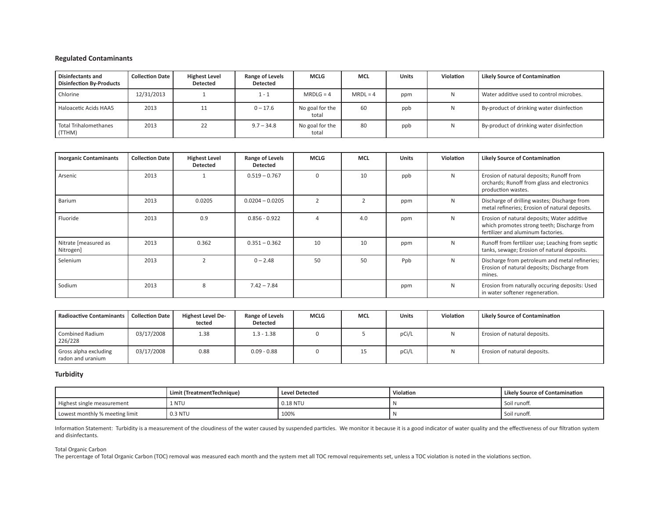# **Regulated Contaminants**

| <b>Disinfectants and</b><br><b>Disinfection By-Products</b> | <b>Collection Date</b> | <b>Highest Level</b><br><b>Detected</b> | Range of Levels<br><b>Detected</b> | <b>MCLG</b>              | <b>MCL</b> | <b>Units</b> | <b>Violation</b> | <b>Likely Source of Contamination</b>     |
|-------------------------------------------------------------|------------------------|-----------------------------------------|------------------------------------|--------------------------|------------|--------------|------------------|-------------------------------------------|
| Chlorine                                                    | 12/31/2013             |                                         | 1 - 1                              | $MRDLG = 4$              | $MRDL = 4$ | ppm          |                  | Water additive used to control microbes.  |
| Haloacetic Acids HAA5                                       | 2013                   | 11                                      | $0 - 17.6$                         | No goal for the<br>total | 60         | ppb          | N                | By-product of drinking water disinfection |
| Total Trihalomethanes<br>(TTHM)                             | 2013                   | 22                                      | $9.7 - 34.8$                       | No goal for the<br>total | 80         | ppb          | N                | By-product of drinking water disinfection |

| <b>Inorganic Contaminants</b>     | <b>Collection Date</b> | <b>Highest Level</b><br><b>Detected</b> | Range of Levels<br><b>Detected</b> | <b>MCLG</b>   | <b>MCL</b> | <b>Units</b> | <b>Violation</b> | <b>Likely Source of Contamination</b>                                                                                            |
|-----------------------------------|------------------------|-----------------------------------------|------------------------------------|---------------|------------|--------------|------------------|----------------------------------------------------------------------------------------------------------------------------------|
| Arsenic                           | 2013                   |                                         | $0.519 - 0.767$                    | $\Omega$      | 10         | ppb          | N                | Erosion of natural deposits; Runoff from<br>orchards; Runoff from glass and electronics<br>production wastes.                    |
| Barium                            | 2013                   | 0.0205                                  | $0.0204 - 0.0205$                  | $\mathcal{D}$ |            | ppm          | N                | Discharge of drilling wastes; Discharge from<br>metal refineries; Erosion of natural deposits.                                   |
| Fluoride                          | 2013                   | 0.9                                     | $0.856 - 0.922$                    | 4             | 4.0        | ppm          | N                | Erosion of natural deposits; Water additive<br>which promotes strong teeth; Discharge from<br>fertilizer and aluminum factories. |
| Nitrate [measured as<br>Nitrogen] | 2013                   | 0.362                                   | $0.351 - 0.362$                    | 10            | 10         | ppm          | N                | Runoff from fertilizer use; Leaching from septic<br>tanks, sewage; Erosion of natural deposits.                                  |
| Selenium                          | 2013                   | $\overline{2}$                          | $0 - 2.48$                         | 50            | 50         | Ppb          | N                | Discharge from petroleum and metal refineries;<br>Erosion of natural deposits; Discharge from<br>mines.                          |
| Sodium                            | 2013                   | 8                                       | $7.42 - 7.84$                      |               |            | ppm          | N                | Erosion from naturally occuring deposits: Used<br>in water softener regeneration.                                                |

| Radioactive Contaminants   Collection Date |            | <b>Highest Level De-</b><br>tected | <b>Range of Levels</b><br><b>Detected</b> | <b>MCLG</b> | <b>MCL</b> | <b>Units</b> | Violation | Likely Source of Contamination |
|--------------------------------------------|------------|------------------------------------|-------------------------------------------|-------------|------------|--------------|-----------|--------------------------------|
| Combined Radium<br>226/228                 | 03/17/2008 | 1.38                               | $1.3 - 1.38$                              |             |            | pCi/L        | N         | Erosion of natural deposits.   |
| Gross alpha excluding<br>radon and uranium | 03/17/2008 | 0.88                               | $0.09 - 0.88$                             |             | 15         | pCi/L        | N         | Erosion of natural deposits.   |

# **Turbidity**

|                                | Limit (TreatmentTechnique) | <b>Level Detected</b> | Violation | <b>Likely Source of Contamination</b> |
|--------------------------------|----------------------------|-----------------------|-----------|---------------------------------------|
| Highest single measurement     | 1 NTU                      | $0.18$ NTU            |           | Soil runoff.                          |
| Lowest monthly % meeting limit | 0.3 NTU                    | 100%                  |           | Soil runoff.                          |

Information Statement: Turbidity is a measurement of the cloudiness of the water caused by suspended particles. We monitor it because it is a good indicator of water quality and the effectiveness of our filtration system and disinfectants.

### Total Organic Carbon

The percentage of Total Organic Carbon (TOC) removal was measured each month and the system met all TOC removal requirements set, unless a TOC violation is noted in the violations section.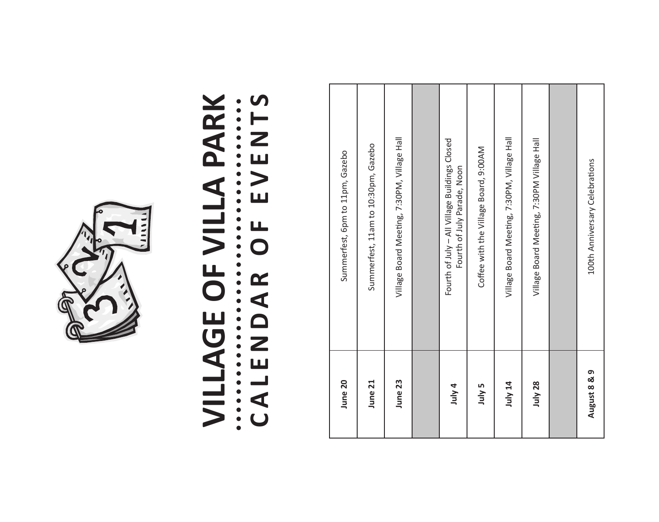

# **VILLAGE OF VILLA PARK**  CALENDAR OF EVENTS

| June 20      | Summerfest, 6pm to 11pm, Gazebo                                              |
|--------------|------------------------------------------------------------------------------|
| June 21      | Summerfest, 11am to 10:30pm, Gazebo                                          |
| June 23      | Village Board Meeting, 7:30PM, Village Hall                                  |
|              |                                                                              |
| July 4       | Fourth of July - All Village Buildings Closed<br>Fourth of July Parade, Noon |
| July 5       | Coffee with the Village Board, 9:00AM                                        |
| July 14      | Village Board Meeting, 7:30PM, Village Hall                                  |
| July 28      | Village Board Meeting, 7:30PM Village Hall                                   |
|              |                                                                              |
| August 8 & 9 | 100th Anniversary Celebrations                                               |
|              |                                                                              |